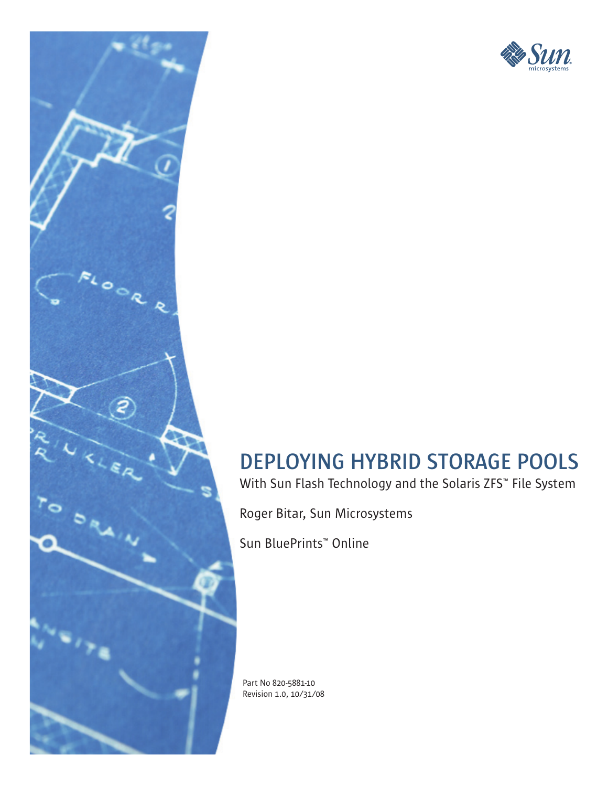

# **DEPLOYING HYBRID STORAGE POOLS**

With Sun Flash Technology and the Solaris ZFS™ File System

Roger Bitar, Sun Microsystems

Sun BluePrints™ Online

 $\bullet$ 

 $\mathbf{r_{o}}$ 

Part No 820-5881-10 Revision 1.0, 10/31/08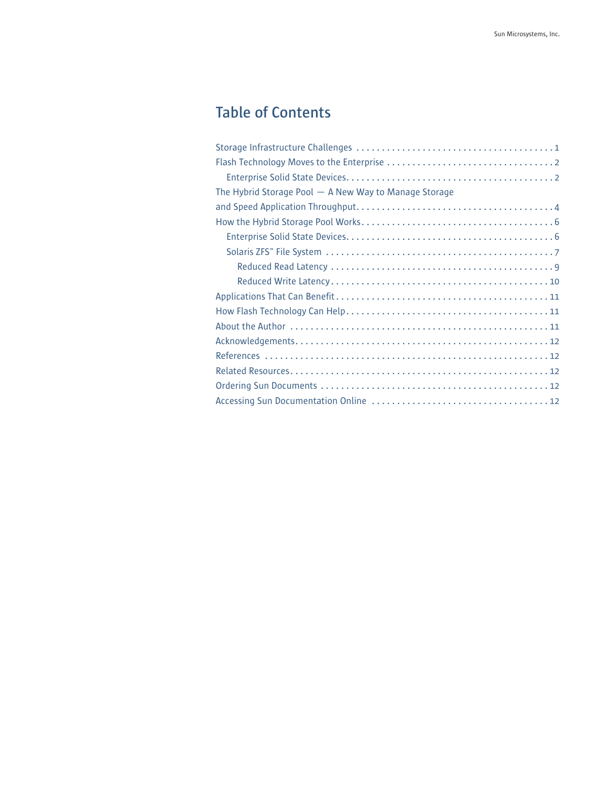## **Table of Contents**

| The Hybrid Storage Pool $-$ A New Way to Manage Storage |
|---------------------------------------------------------|
|                                                         |
|                                                         |
|                                                         |
|                                                         |
|                                                         |
|                                                         |
|                                                         |
|                                                         |
|                                                         |
|                                                         |
|                                                         |
|                                                         |
|                                                         |
|                                                         |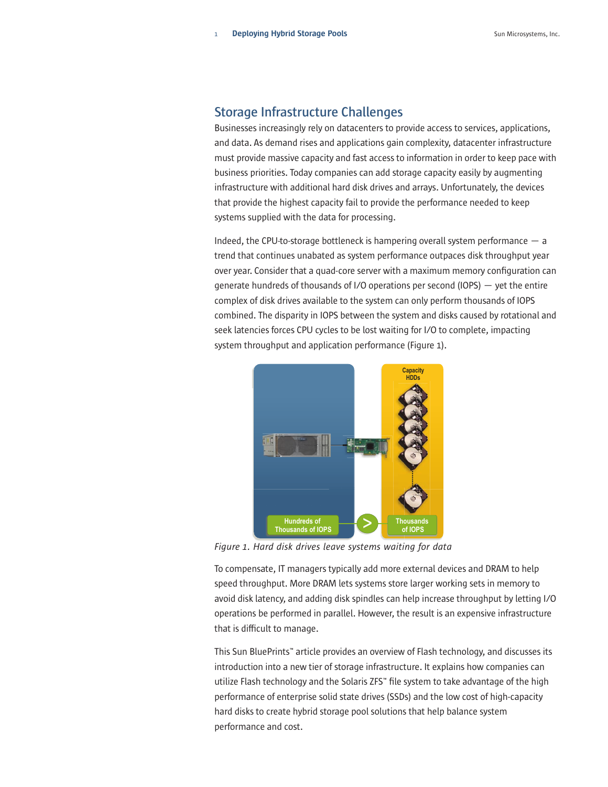## **Storage Infrastructure Challenges**

Businesses increasingly rely on datacenters to provide access to services, applications, and data. As demand rises and applications gain complexity, datacenter infrastructure must provide massive capacity and fast access to information in order to keep pace with business priorities. Today companies can add storage capacity easily by augmenting infrastructure with additional hard disk drives and arrays. Unfortunately, the devices that provide the highest capacity fail to provide the performance needed to keep systems supplied with the data for processing.

Indeed, the CPU-to-storage bottleneck is hampering overall system performance — a trend that continues unabated as system performance outpaces disk throughput year over year. Consider that a quad-core server with a maximum memory configuration can generate hundreds of thousands of I/O operations per second (IOPS) — yet the entire complex of disk drives available to the system can only perform thousands of IOPS combined. The disparity in IOPS between the system and disks caused by rotational and seek latencies forces CPU cycles to be lost waiting for I/O to complete, impacting system throughput and application performance (Figure 1).



*Figure 1. Hard disk drives leave systems waiting for data*

To compensate, IT managers typically add more external devices and DRAM to help speed throughput. More DRAM lets systems store larger working sets in memory to avoid disk latency, and adding disk spindles can help increase throughput by letting I/O operations be performed in parallel. However, the result is an expensive infrastructure that is difficult to manage.

This Sun BluePrints™ article provides an overview of Flash technology, and discusses its introduction into a new tier of storage infrastructure. It explains how companies can utilize Flash technology and the Solaris ZFS™ file system to take advantage of the high performance of enterprise solid state drives (SSDs) and the low cost of high-capacity hard disks to create hybrid storage pool solutions that help balance system performance and cost.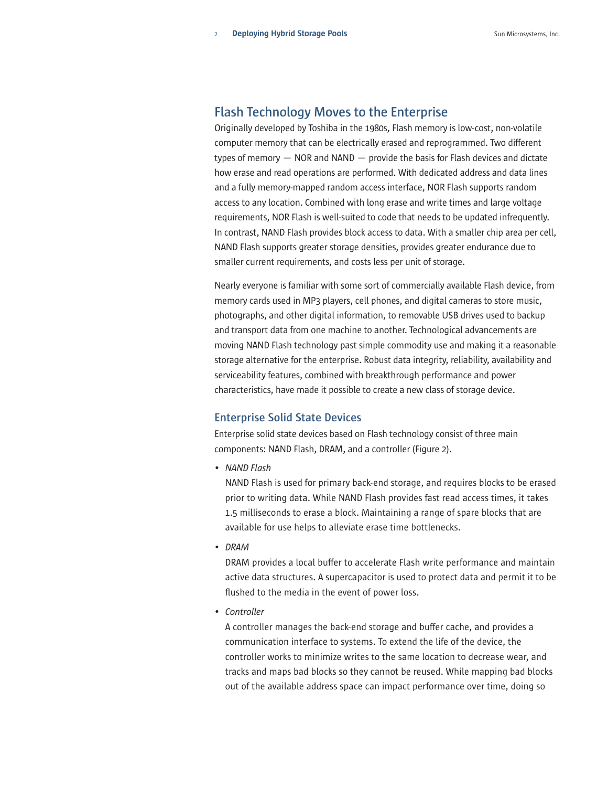## **Flash Technology Moves to the Enterprise**

Originally developed by Toshiba in the 1980s, Flash memory is low-cost, non-volatile computer memory that can be electrically erased and reprogrammed. Two different types of memory — NOR and NAND — provide the basis for Flash devices and dictate how erase and read operations are performed. With dedicated address and data lines and a fully memory-mapped random access interface, NOR Flash supports random access to any location. Combined with long erase and write times and large voltage requirements, NOR Flash is well-suited to code that needs to be updated infrequently. In contrast, NAND Flash provides block access to data. With a smaller chip area per cell, NAND Flash supports greater storage densities, provides greater endurance due to smaller current requirements, and costs less per unit of storage.

Nearly everyone is familiar with some sort of commercially available Flash device, from memory cards used in MP3 players, cell phones, and digital cameras to store music, photographs, and other digital information, to removable USB drives used to backup and transport data from one machine to another. Technological advancements are moving NAND Flash technology past simple commodity use and making it a reasonable storage alternative for the enterprise. Robust data integrity, reliability, availability and serviceability features, combined with breakthrough performance and power characteristics, have made it possible to create a new class of storage device.

#### **Enterprise Solid State Devices**

Enterprise solid state devices based on Flash technology consist of three main components: NAND Flash, DRAM, and a controller (Figure 2).

*• NAND Flash*

NAND Flash is used for primary back-end storage, and requires blocks to be erased prior to writing data. While NAND Flash provides fast read access times, it takes 1.5 milliseconds to erase a block. Maintaining a range of spare blocks that are available for use helps to alleviate erase time bottlenecks.

*• DRAM*

DRAM provides a local buffer to accelerate Flash write performance and maintain active data structures. A supercapacitor is used to protect data and permit it to be flushed to the media in the event of power loss.

*• Controller*

A controller manages the back-end storage and buffer cache, and provides a communication interface to systems. To extend the life of the device, the controller works to minimize writes to the same location to decrease wear, and tracks and maps bad blocks so they cannot be reused. While mapping bad blocks out of the available address space can impact performance over time, doing so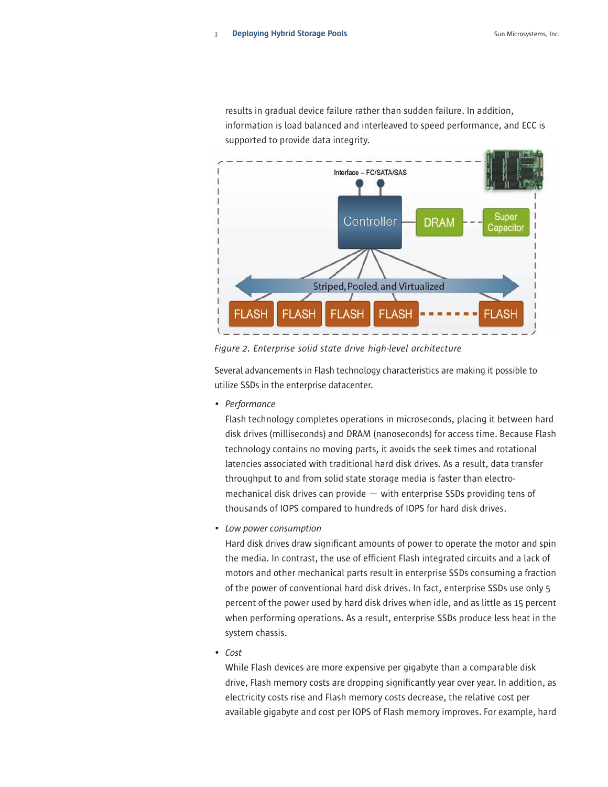results in gradual device failure rather than sudden failure. In addition, information is load balanced and interleaved to speed performance, and ECC is supported to provide data integrity.



*Figure 2. Enterprise solid state drive high-level architecture*

Several advancements in Flash technology characteristics are making it possible to utilize SSDs in the enterprise datacenter.

*• Performance*

Flash technology completes operations in microseconds, placing it between hard disk drives (milliseconds) and DRAM (nanoseconds) for access time. Because Flash technology contains no moving parts, it avoids the seek times and rotational latencies associated with traditional hard disk drives. As a result, data transfer throughput to and from solid state storage media is faster than electromechanical disk drives can provide — with enterprise SSDs providing tens of thousands of IOPS compared to hundreds of IOPS for hard disk drives.

*• Low power consumption*

Hard disk drives draw significant amounts of power to operate the motor and spin the media. In contrast, the use of efficient Flash integrated circuits and a lack of motors and other mechanical parts result in enterprise SSDs consuming a fraction of the power of conventional hard disk drives. In fact, enterprise SSDs use only 5 percent of the power used by hard disk drives when idle, and as little as 15 percent when performing operations. As a result, enterprise SSDs produce less heat in the system chassis.

*• Cost*

While Flash devices are more expensive per gigabyte than a comparable disk drive, Flash memory costs are dropping significantly year over year. In addition, as electricity costs rise and Flash memory costs decrease, the relative cost per available gigabyte and cost per IOPS of Flash memory improves. For example, hard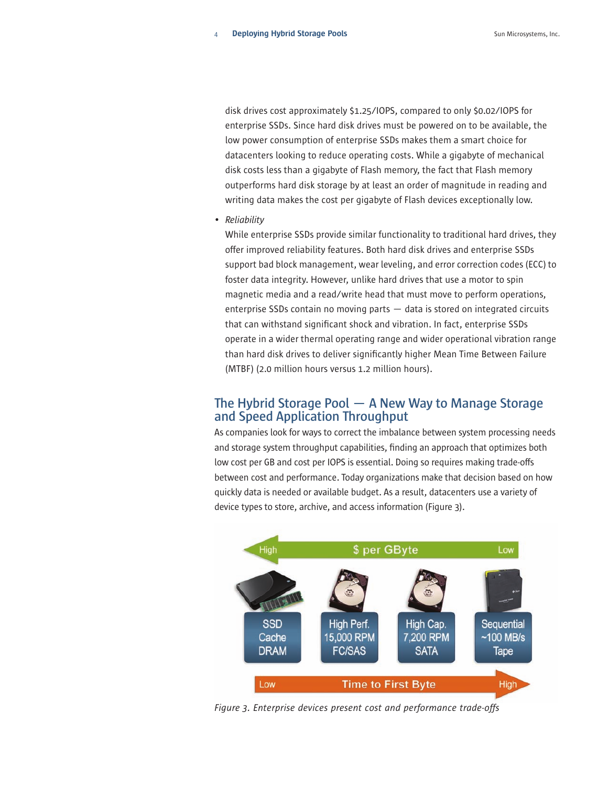disk drives cost approximately \$1.25/IOPS, compared to only \$0.02/IOPS for enterprise SSDs. Since hard disk drives must be powered on to be available, the low power consumption of enterprise SSDs makes them a smart choice for datacenters looking to reduce operating costs. While a gigabyte of mechanical disk costs less than a gigabyte of Flash memory, the fact that Flash memory outperforms hard disk storage by at least an order of magnitude in reading and writing data makes the cost per gigabyte of Flash devices exceptionally low.

*• Reliability*

While enterprise SSDs provide similar functionality to traditional hard drives, they offer improved reliability features. Both hard disk drives and enterprise SSDs support bad block management, wear leveling, and error correction codes (ECC) to foster data integrity. However, unlike hard drives that use a motor to spin magnetic media and a read/write head that must move to perform operations, enterprise SSDs contain no moving parts — data is stored on integrated circuits that can withstand significant shock and vibration. In fact, enterprise SSDs operate in a wider thermal operating range and wider operational vibration range than hard disk drives to deliver significantly higher Mean Time Between Failure (MTBF) (2.0 million hours versus 1.2 million hours).

## **The Hybrid Storage Pool — A New Way to Manage Storage and Speed Application Throughput**

As companies look for ways to correct the imbalance between system processing needs and storage system throughput capabilities, finding an approach that optimizes both low cost per GB and cost per IOPS is essential. Doing so requires making trade-offs between cost and performance. Today organizations make that decision based on how quickly data is needed or available budget. As a result, datacenters use a variety of device types to store, archive, and access information (Figure 3).



*Figure 3. Enterprise devices present cost and performance trade-offs*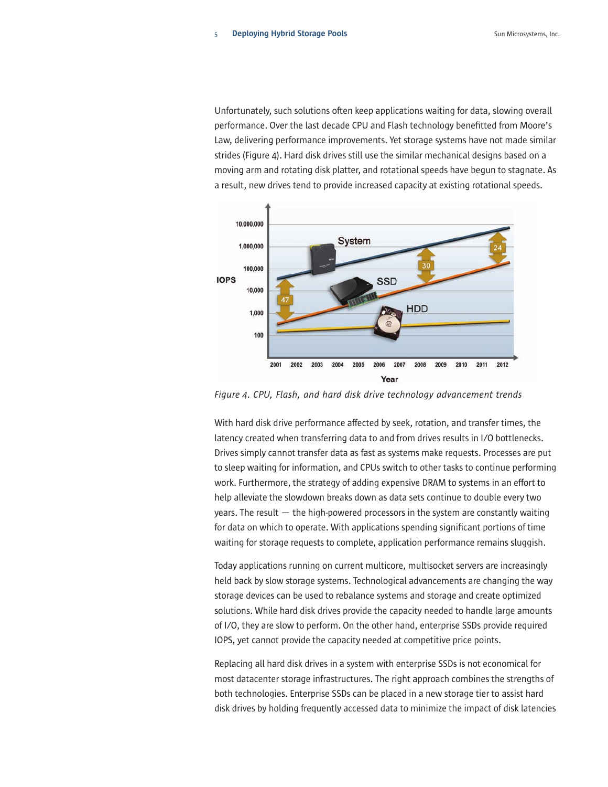Unfortunately, such solutions often keep applications waiting for data, slowing overall performance. Over the last decade CPU and Flash technology benefitted from Moore's Law, delivering performance improvements. Yet storage systems have not made similar strides (Figure 4). Hard disk drives still use the similar mechanical designs based on a moving arm and rotating disk platter, and rotational speeds have begun to stagnate. As a result, new drives tend to provide increased capacity at existing rotational speeds.



*Figure 4. CPU, Flash, and hard disk drive technology advancement trends*

With hard disk drive performance affected by seek, rotation, and transfer times, the latency created when transferring data to and from drives results in I/O bottlenecks. Drives simply cannot transfer data as fast as systems make requests. Processes are put to sleep waiting for information, and CPUs switch to other tasks to continue performing work. Furthermore, the strategy of adding expensive DRAM to systems in an effort to help alleviate the slowdown breaks down as data sets continue to double every two years. The result — the high-powered processors in the system are constantly waiting for data on which to operate. With applications spending significant portions of time waiting for storage requests to complete, application performance remains sluggish.

Today applications running on current multicore, multisocket servers are increasingly held back by slow storage systems. Technological advancements are changing the way storage devices can be used to rebalance systems and storage and create optimized solutions. While hard disk drives provide the capacity needed to handle large amounts of I/O, they are slow to perform. On the other hand, enterprise SSDs provide required IOPS, yet cannot provide the capacity needed at competitive price points.

Replacing all hard disk drives in a system with enterprise SSDs is not economical for most datacenter storage infrastructures. The right approach combines the strengths of both technologies. Enterprise SSDs can be placed in a new storage tier to assist hard disk drives by holding frequently accessed data to minimize the impact of disk latencies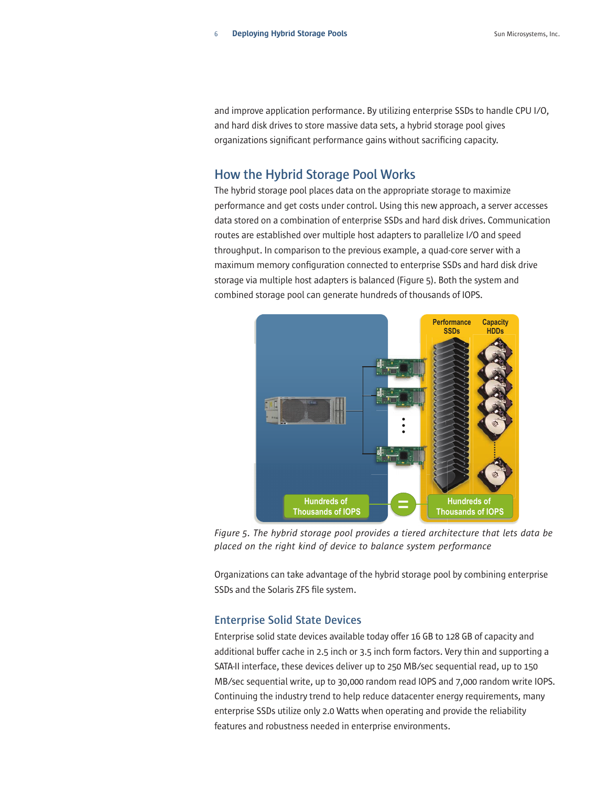and improve application performance. By utilizing enterprise SSDs to handle CPU I/O, and hard disk drives to store massive data sets, a hybrid storage pool gives organizations significant performance gains without sacrificing capacity.

## **How the Hybrid Storage Pool Works**

The hybrid storage pool places data on the appropriate storage to maximize performance and get costs under control. Using this new approach, a server accesses data stored on a combination of enterprise SSDs and hard disk drives. Communication routes are established over multiple host adapters to parallelize I/O and speed throughput. In comparison to the previous example, a quad-core server with a maximum memory configuration connected to enterprise SSDs and hard disk drive storage via multiple host adapters is balanced (Figure 5). Both the system and combined storage pool can generate hundreds of thousands of IOPS.



*Figure 5. The hybrid storage pool provides a tiered architecture that lets data be placed on the right kind of device to balance system performance*

Organizations can take advantage of the hybrid storage pool by combining enterprise SSDs and the Solaris ZFS file system.

## **Enterprise Solid State Devices**

Enterprise solid state devices available today offer 16 GB to 128 GB of capacity and additional buffer cache in 2.5 inch or 3.5 inch form factors. Very thin and supporting a SATA-II interface, these devices deliver up to 250 MB/sec sequential read, up to 150 MB/sec sequential write, up to 30,000 random read IOPS and 7,000 random write IOPS. Continuing the industry trend to help reduce datacenter energy requirements, many enterprise SSDs utilize only 2.0 Watts when operating and provide the reliability features and robustness needed in enterprise environments.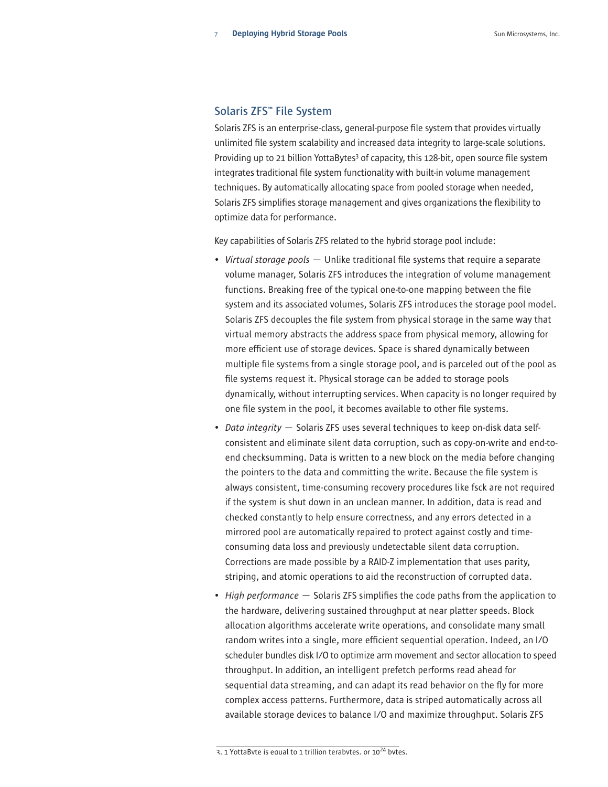## **Solaris ZFS™ File System**

Solaris ZFS is an enterprise-class, general-purpose file system that provides virtually unlimited file system scalability and increased data integrity to large-scale solutions. Providing up to 21 billion YottaBytes<sup>3</sup> of capacity, this 128-bit, open source file system integrates traditional file system functionality with built-in volume management techniques. By automatically allocating space from pooled storage when needed, Solaris ZFS simplifies storage management and gives organizations the flexibility to optimize data for performance.

Key capabilities of Solaris ZFS related to the hybrid storage pool include:

- *Virtual storage pools* Unlike traditional file systems that require a separate volume manager, Solaris ZFS introduces the integration of volume management functions. Breaking free of the typical one-to-one mapping between the file system and its associated volumes, Solaris ZFS introduces the storage pool model. Solaris ZFS decouples the file system from physical storage in the same way that virtual memory abstracts the address space from physical memory, allowing for more efficient use of storage devices. Space is shared dynamically between multiple file systems from a single storage pool, and is parceled out of the pool as file systems request it. Physical storage can be added to storage pools dynamically, without interrupting services. When capacity is no longer required by one file system in the pool, it becomes available to other file systems.
- *Data integrity* Solaris ZFS uses several techniques to keep on-disk data selfconsistent and eliminate silent data corruption, such as copy-on-write and end-toend checksumming. Data is written to a new block on the media before changing the pointers to the data and committing the write. Because the file system is always consistent, time-consuming recovery procedures like fsck are not required if the system is shut down in an unclean manner. In addition, data is read and checked constantly to help ensure correctness, and any errors detected in a mirrored pool are automatically repaired to protect against costly and timeconsuming data loss and previously undetectable silent data corruption. Corrections are made possible by a RAID-Z implementation that uses parity, striping, and atomic operations to aid the reconstruction of corrupted data.
- *High performance*  Solaris ZFS simplifies the code paths from the application to the hardware, delivering sustained throughput at near platter speeds. Block allocation algorithms accelerate write operations, and consolidate many small random writes into a single, more efficient sequential operation. Indeed, an I/O scheduler bundles disk I/O to optimize arm movement and sector allocation to speed throughput. In addition, an intelligent prefetch performs read ahead for sequential data streaming, and can adapt its read behavior on the fly for more complex access patterns. Furthermore, data is striped automatically across all available storage devices to balance I/O and maximize throughput. Solaris ZFS

<sup>3. 1</sup> YottaByte is equal to 1 trillion terabytes, or 10<sup>24</sup> bytes.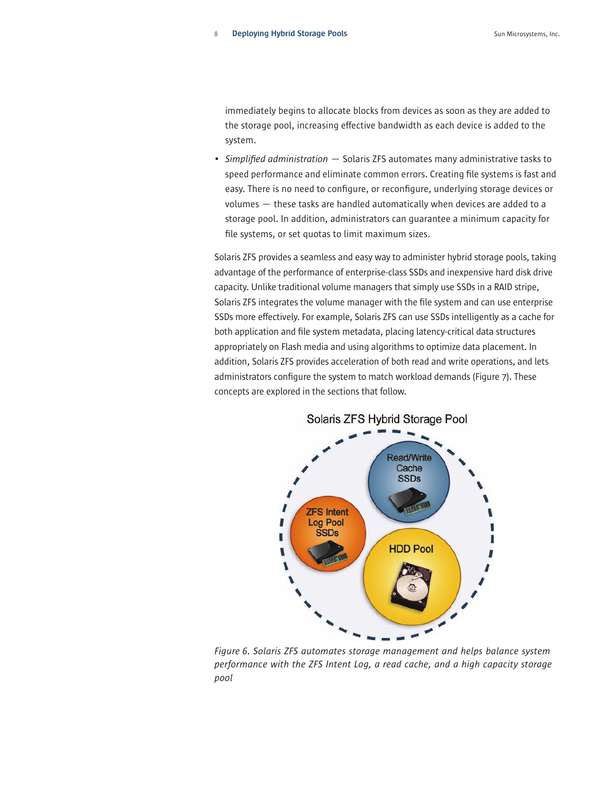immediately begins to allocate blocks from devices as soon as they are added to the storage pool, increasing effective bandwidth as each device is added to the system.

• *Simplified administration* — Solaris ZFS automates many administrative tasks to speed performance and eliminate common errors. Creating file systems is fast and easy. There is no need to configure, or reconfigure, underlying storage devices or volumes — these tasks are handled automatically when devices are added to a storage pool. In addition, administrators can guarantee a minimum capacity for file systems, or set quotas to limit maximum sizes.

Solaris ZFS provides a seamless and easy way to administer hybrid storage pools, taking advantage of the performance of enterprise-class SSDs and inexpensive hard disk drive capacity. Unlike traditional volume managers that simply use SSDs in a RAID stripe, Solaris ZFS integrates the volume manager with the file system and can use enterprise SSDs more effectively. For example, Solaris ZFS can use SSDs intelligently as a cache for both application and file system metadata, placing latency-critical data structures appropriately on Flash media and using algorithms to optimize data placement. In addition, Solaris ZFS provides acceleration of both read and write operations, and lets administrators configure the system to match workload demands (Figure 7). These concepts are explored in the sections that follow.



*Figure 6. Solaris ZFS automates storage management and helps balance system performance with the ZFS Intent Log, a read cache, and a high capacity storage pool*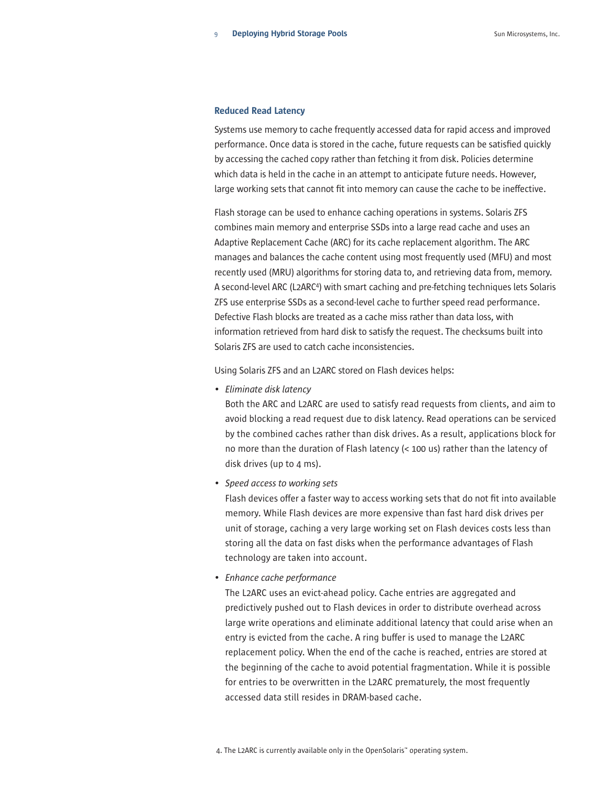#### Reduced Read Latency

Systems use memory to cache frequently accessed data for rapid access and improved performance. Once data is stored in the cache, future requests can be satisfied quickly by accessing the cached copy rather than fetching it from disk. Policies determine which data is held in the cache in an attempt to anticipate future needs. However, large working sets that cannot fit into memory can cause the cache to be ineffective.

Flash storage can be used to enhance caching operations in systems. Solaris ZFS combines main memory and enterprise SSDs into a large read cache and uses an Adaptive Replacement Cache (ARC) for its cache replacement algorithm. The ARC manages and balances the cache content using most frequently used (MFU) and most recently used (MRU) algorithms for storing data to, and retrieving data from, memory. A second-level ARC (L2ARC<sup>4</sup>) with smart caching and pre-fetching techniques lets Solaris ZFS use enterprise SSDs as a second-level cache to further speed read performance. Defective Flash blocks are treated as a cache miss rather than data loss, with information retrieved from hard disk to satisfy the request. The checksums built into Solaris ZFS are used to catch cache inconsistencies.

Using Solaris ZFS and an L2ARC stored on Flash devices helps:

*• Eliminate disk latency*

Both the ARC and L2ARC are used to satisfy read requests from clients, and aim to avoid blocking a read request due to disk latency. Read operations can be serviced by the combined caches rather than disk drives. As a result, applications block for no more than the duration of Flash latency (< 100 us) rather than the latency of disk drives (up to 4 ms).

*• Speed access to working sets*

Flash devices offer a faster way to access working sets that do not fit into available memory. While Flash devices are more expensive than fast hard disk drives per unit of storage, caching a very large working set on Flash devices costs less than storing all the data on fast disks when the performance advantages of Flash technology are taken into account.

*• Enhance cache performance*

The L2ARC uses an evict-ahead policy. Cache entries are aggregated and predictively pushed out to Flash devices in order to distribute overhead across large write operations and eliminate additional latency that could arise when an entry is evicted from the cache. A ring buffer is used to manage the L2ARC replacement policy. When the end of the cache is reached, entries are stored at the beginning of the cache to avoid potential fragmentation. While it is possible for entries to be overwritten in the L2ARC prematurely, the most frequently accessed data still resides in DRAM-based cache.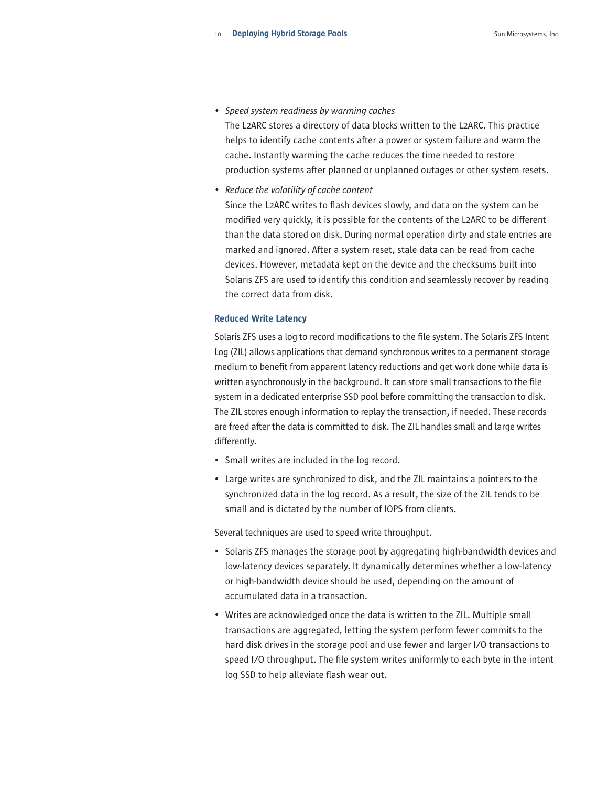*• Speed system readiness by warming caches*

The L2ARC stores a directory of data blocks written to the L2ARC. This practice helps to identify cache contents after a power or system failure and warm the cache. Instantly warming the cache reduces the time needed to restore production systems after planned or unplanned outages or other system resets.

*• Reduce the volatility of cache content*

Since the L2ARC writes to flash devices slowly, and data on the system can be modified very quickly, it is possible for the contents of the L2ARC to be different than the data stored on disk. During normal operation dirty and stale entries are marked and ignored. After a system reset, stale data can be read from cache devices. However, metadata kept on the device and the checksums built into Solaris ZFS are used to identify this condition and seamlessly recover by reading the correct data from disk.

#### Reduced Write Latency

Solaris ZFS uses a log to record modifications to the file system. The Solaris ZFS Intent Log (ZIL) allows applications that demand synchronous writes to a permanent storage medium to benefit from apparent latency reductions and get work done while data is written asynchronously in the background. It can store small transactions to the file system in a dedicated enterprise SSD pool before committing the transaction to disk. The ZIL stores enough information to replay the transaction, if needed. These records are freed after the data is committed to disk. The ZIL handles small and large writes differently.

- Small writes are included in the log record.
- Large writes are synchronized to disk, and the ZIL maintains a pointers to the synchronized data in the log record. As a result, the size of the ZIL tends to be small and is dictated by the number of IOPS from clients.

Several techniques are used to speed write throughput.

- Solaris ZFS manages the storage pool by aggregating high-bandwidth devices and low-latency devices separately. It dynamically determines whether a low-latency or high-bandwidth device should be used, depending on the amount of accumulated data in a transaction.
- Writes are acknowledged once the data is written to the ZIL. Multiple small transactions are aggregated, letting the system perform fewer commits to the hard disk drives in the storage pool and use fewer and larger I/O transactions to speed I/O throughput. The file system writes uniformly to each byte in the intent log SSD to help alleviate flash wear out.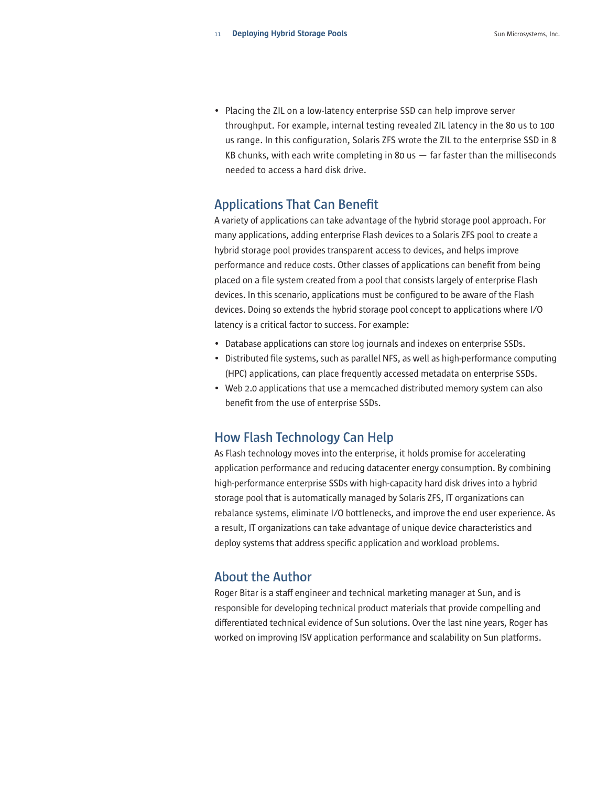• Placing the ZIL on a low-latency enterprise SSD can help improve server throughput. For example, internal testing revealed ZIL latency in the 80 us to 100 us range. In this configuration, Solaris ZFS wrote the ZIL to the enterprise SSD in 8 KB chunks, with each write completing in 80 us  $-$  far faster than the milliseconds needed to access a hard disk drive.

## **Applications That Can Benefit**

A variety of applications can take advantage of the hybrid storage pool approach. For many applications, adding enterprise Flash devices to a Solaris ZFS pool to create a hybrid storage pool provides transparent access to devices, and helps improve performance and reduce costs. Other classes of applications can benefit from being placed on a file system created from a pool that consists largely of enterprise Flash devices. In this scenario, applications must be configured to be aware of the Flash devices. Doing so extends the hybrid storage pool concept to applications where I/O latency is a critical factor to success. For example:

- Database applications can store log journals and indexes on enterprise SSDs.
- Distributed file systems, such as parallel NFS, as well as high-performance computing (HPC) applications, can place frequently accessed metadata on enterprise SSDs.
- Web 2.0 applications that use a memcached distributed memory system can also benefit from the use of enterprise SSDs.

## **How Flash Technology Can Help**

As Flash technology moves into the enterprise, it holds promise for accelerating application performance and reducing datacenter energy consumption. By combining high-performance enterprise SSDs with high-capacity hard disk drives into a hybrid storage pool that is automatically managed by Solaris ZFS, IT organizations can rebalance systems, eliminate I/O bottlenecks, and improve the end user experience. As a result, IT organizations can take advantage of unique device characteristics and deploy systems that address specific application and workload problems.

## **About the Author**

Roger Bitar is a staff engineer and technical marketing manager at Sun, and is responsible for developing technical product materials that provide compelling and differentiated technical evidence of Sun solutions. Over the last nine years, Roger has worked on improving ISV application performance and scalability on Sun platforms.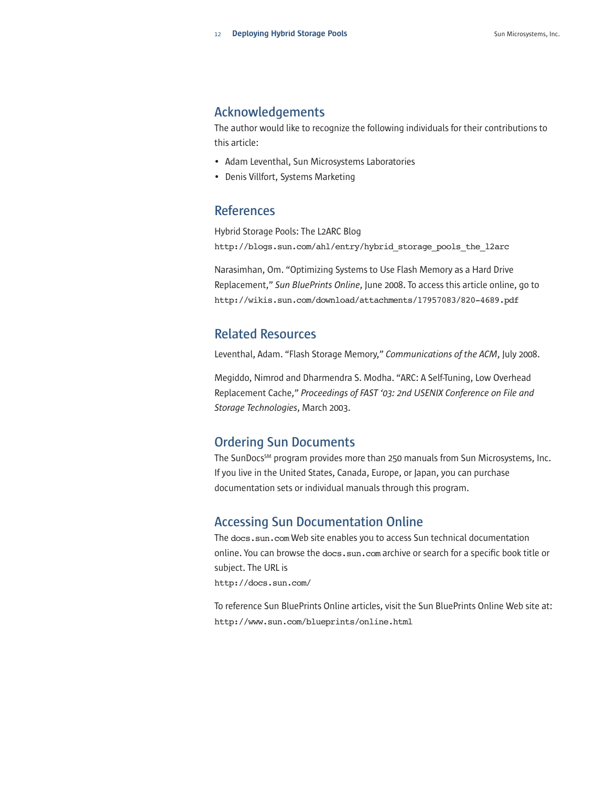## **Acknowledgements**

The author would like to recognize the following individuals for their contributions to this article:

- Adam Leventhal, Sun Microsystems Laboratories
- Denis Villfort, Systems Marketing

## **References**

Hybrid Storage Pools: The L2ARC Blog http://blogs.sun.com/ahl/entry/hybrid\_storage\_pools\_the\_l2arc

Narasimhan, Om. "Optimizing Systems to Use Flash Memory as a Hard Drive Replacement," *Sun BluePrints Online*, June 2008. To access this article online, go to http://wikis.sun.com/download/attachments/17957083/820-4689.pdf

## **Related Resources**

Leventhal, Adam. "Flash Storage Memory," *Communications of the ACM*, July 2008.

Megiddo, Nimrod and Dharmendra S. Modha. "ARC: A Self-Tuning, Low Overhead Replacement Cache," *Proceedings of FAST '03: 2nd USENIX Conference on File and Storage Technologies*, March 2003.

## **Ordering Sun Documents**

The SunDocs<sup>SM</sup> program provides more than 250 manuals from Sun Microsystems, Inc. If you live in the United States, Canada, Europe, or Japan, you can purchase documentation sets or individual manuals through this program.

## **Accessing Sun Documentation Online**

The docs.sun.com Web site enables you to access Sun technical documentation online. You can browse the docs.sun.com archive or search for a specific book title or subject. The URL is http://docs.sun.com/

To reference Sun BluePrints Online articles, visit the Sun BluePrints Online Web site at: http://www.sun.com/blueprints/online.html